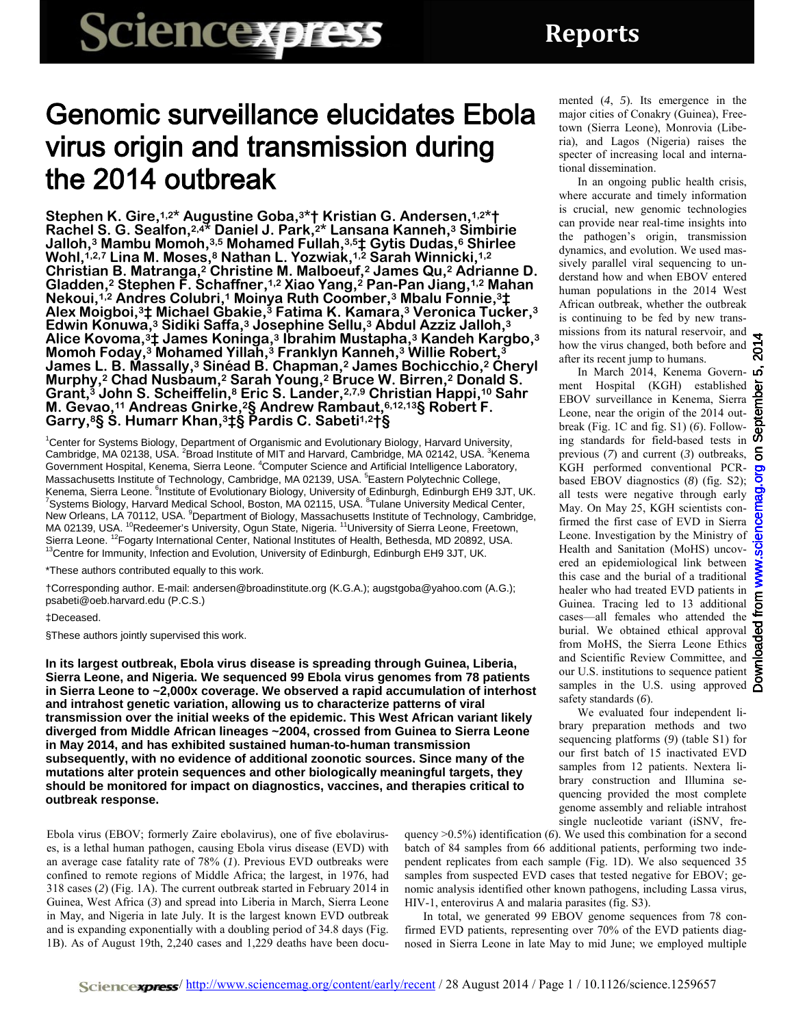## Genomic surveillance elucidates Ebola virus origin and transmission during the 2014 outbreak

**Stephen K. Gire,1,2\* Augustine Goba,3\*† Kristian G. Andersen,1,2\*† Rachel S. G. Sealfon,2,4\* Daniel J. Park,2\* Lansana Kanneh,3 Simbirie Jalloh,3 Mambu Momoh,3,5 Mohamed Fullah,3,5‡ Gytis Dudas,6 Shirlee Wohl,1,2,7 Lina M. Moses,8 Nathan L. Yozwiak,1,2 Sarah Winnicki,1,2 Christian B. Matranga,2 Christine M. Malboeuf,2 James Qu,2 Adrianne D. Gladden,2 Stephen F. Schaffner,1,2 Xiao Yang,2 Pan-Pan Jiang,1,2 Mahan Nekoui,1,2 Andres Colubri,1 Moinya Ruth Coomber,3 Mbalu Fonnie,3‡ Alex Moigboi,3‡ Michael Gbakie,3 Fatima K. Kamara,3 Veronica Tucker,3 Edwin Konuwa,3 Sidiki Saffa,3 Josephine Sellu,3 Abdul Azziz Jalloh,3 Alice Kovoma,3‡ James Koninga,3 Ibrahim Mustapha,3 Kandeh Kargbo,3 Momoh Foday,3 Mohamed Yillah,3 Franklyn Kanneh,3 Willie Robert,3 James L. B. Massally,3 Sinéad B. Chapman,2 James Bochicchio,2 Cheryl Murphy,2 Chad Nusbaum,2 Sarah Young,2 Bruce W. Birren,2 Donald S. Grant,3 John S. Scheiffelin,8 Eric S. Lander,2,7,9 Christian Happi,10 Sahr M. Gevao,11 Andreas Gnirke,2§ Andrew Rambaut,6,12,13§ Robert F. Garry,8§ S. Humarr Khan,3‡§ Pardis C. Sabeti1,2†§**

1 Center for Systems Biology, Department of Organismic and Evolutionary Biology, Harvard University, Cambridge, MA 02138, USA. <sup>2</sup>Broad Institute of MIT and Harvard, Cambridge, MA 02142, USA. <sup>3</sup>Kenema Government Hospital, Kenema, Sierra Leone. <sup>4</sup>Computer Science and Artificial Intelligence Laboratory, Massachusetts Institute of Technology, Cambridge, MA 02139, USA. <sup>5</sup>Eastern Polytechnic College, Kenema, Sierra Leone. <sup>6</sup>Institute of Evolutionary Biology, University of Edinburgh, Edinburgh EH9 3JT, UK.<br><sup>7</sup>Systems Biology, Hangred Medical Sebeck Besten, MA 02115, USA, <sup>8</sup>Tulope University Medical Center Systems Biology, Harvard Medical School, Boston, MA 02115, USA. <sup>8</sup>Tulane University Medical Center, New Orleans, LA 70112, USA. <sup>9</sup>Department of Biology, Massachusetts Institute of Technology, Cambridge, MA 02139, USA. <sup>10</sup>Redeemer's University, Ogun State, Nigeria. <sup>11</sup>University of Sierra Leone, Freetown,<br>Sierra Leone. <sup>12</sup>Fogarty International Center, National Institutes of Health, Bethesda, MD 20892, USA. <sup>13</sup>Centre for Immunity, Infection and Evolution, University of Edinburgh, Edinburgh EH9 3JT, UK.

\*These authors contributed equally to this work.

†Corresponding author. E-mail: andersen@broadinstitute.org (K.G.A.); augstgoba@yahoo.com (A.G.); psabeti@oeb.harvard.edu (P.C.S.)

## ‡Deceased.

§These authors jointly supervised this work.

**In its largest outbreak, Ebola virus disease is spreading through Guinea, Liberia, Sierra Leone, and Nigeria. We sequenced 99 Ebola virus genomes from 78 patients in Sierra Leone to ~2,000x coverage. We observed a rapid accumulation of interhost and intrahost genetic variation, allowing us to characterize patterns of viral transmission over the initial weeks of the epidemic. This West African variant likely diverged from Middle African lineages ~2004, crossed from Guinea to Sierra Leone in May 2014, and has exhibited sustained human-to-human transmission subsequently, with no evidence of additional zoonotic sources. Since many of the mutations alter protein sequences and other biologically meaningful targets, they should be monitored for impact on diagnostics, vaccines, and therapies critical to outbreak response.**

Ebola virus (EBOV; formerly Zaire ebolavirus), one of five ebolaviruses, is a lethal human pathogen, causing Ebola virus disease (EVD) with an average case fatality rate of 78% (*1*). Previous EVD outbreaks were confined to remote regions of Middle Africa; the largest, in 1976, had 318 cases (*2*) (Fig. 1A). The current outbreak started in February 2014 in Guinea, West Africa (*3*) and spread into Liberia in March, Sierra Leone in May, and Nigeria in late July. It is the largest known EVD outbreak and is expanding exponentially with a doubling period of 34.8 days (Fig. 1B). As of August 19th, 2,240 cases and 1,229 deaths have been docu-

quency >0.5%) identification (*6*). We used this combination for a second batch of 84 samples from 66 additional patients, performing two independent replicates from each sample (Fig. 1D). We also sequenced 35 samples from suspected EVD cases that tested negative for EBOV; genomic analysis identified other known pathogens, including Lassa virus, HIV-1, enterovirus A and malaria parasites (fig. S3).

In total, we generated 99 EBOV genome sequences from 78 confirmed EVD patients, representing over 70% of the EVD patients diagnosed in Sierra Leone in late May to mid June; we employed multiple

mented (*4*, *5*). Its emergence in the major cities of Conakry (Guinea), Freetown (Sierra Leone), Monrovia (Liberia), and Lagos (Nigeria) raises the specter of increasing local and international dissemination.

In an ongoing public health crisis, where accurate and timely information is crucial, new genomic technologies can provide near real-time insights into the pathogen's origin, transmission dynamics, and evolution. We used massively parallel viral sequencing to understand how and when EBOV entered human populations in the 2014 West African outbreak, whether the outbreak is continuing to be fed by new transmissions from its natural reservoir, and  $\blacktriangleleft$ missions non as  $\frac{1}{2}$  how the virus changed, both before and  $\sum_{n=1}^{\infty}$ after its recent jump to humans.

In March 2014, Kenema Government Hospital (KGH) established EBOV surveillance in Kenema, Sierra Leone, near the origin of the 2014 out- $\overline{\mathbf{Q}}$ break (Fig. 1C and fig. S1) (*6*). Following standards for field-based tests in previous (*7*) and current (*3*) outbreaks, KGH performed conventional PCRbased EBOV diagnostics (*8*) (fig. S2); all tests were negative through early May. On May 25, KGH scientists confirmed the first case of EVD in Sierra Leone. Investigation by the Ministry of  $\overline{\mathbf{\Phi}}$ Health and Sanitation (MoHS) uncovered an epidemiological link between this case and the burial of a traditional healer who had treated EVD patients in mealer who had treated EVD patients in<br>Guinea. Tracing led to 13 additional  $\epsilon$ <br>cases—all females who attended the cases—all females who attended the  $\frac{1}{2}$  burial. We obtained ethical approval  $\frac{1}{2}$ from MoHS, the Sierra Leone Ethics and Scientific Review Committee, and our U.S. institutions to sequence patient samples in the U.S. using approved  $\beta$ safety standards (*6*).

We evaluated four independent library preparation methods and two sequencing platforms (*9*) (table S1) for our first batch of 15 inactivated EVD samples from 12 patients. Nextera library construction and Illumina sequencing provided the most complete genome assembly and reliable intrahost single nucleotide variant (iSNV, fre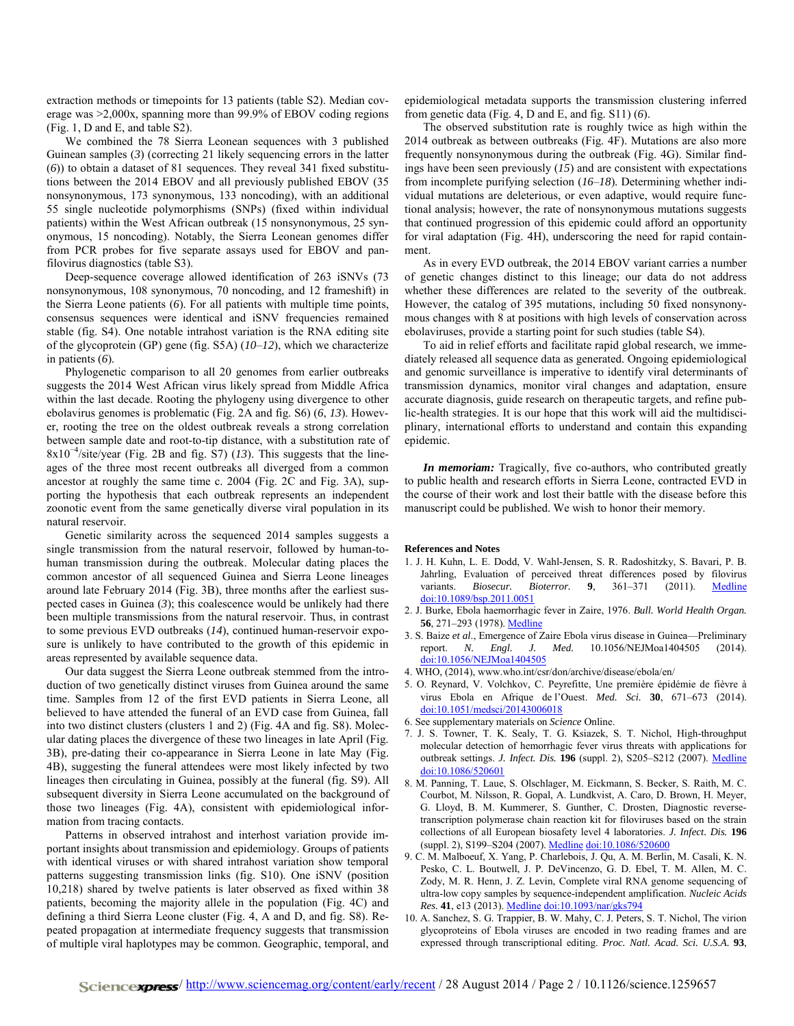extraction methods or timepoints for 13 patients (table S2). Median coverage was >2,000x, spanning more than 99.9% of EBOV coding regions (Fig. 1, D and E, and table S2).

We combined the 78 Sierra Leonean sequences with 3 published Guinean samples (*3*) (correcting 21 likely sequencing errors in the latter (*6*)) to obtain a dataset of 81 sequences. They reveal 341 fixed substitutions between the 2014 EBOV and all previously published EBOV (35 nonsynonymous, 173 synonymous, 133 noncoding), with an additional 55 single nucleotide polymorphisms (SNPs) (fixed within individual patients) within the West African outbreak (15 nonsynonymous, 25 synonymous, 15 noncoding). Notably, the Sierra Leonean genomes differ from PCR probes for five separate assays used for EBOV and panfilovirus diagnostics (table S3).

Deep-sequence coverage allowed identification of 263 iSNVs (73 nonsynonymous, 108 synonymous, 70 noncoding, and 12 frameshift) in the Sierra Leone patients (*6*). For all patients with multiple time points, consensus sequences were identical and iSNV frequencies remained stable (fig. S4). One notable intrahost variation is the RNA editing site of the glycoprotein (GP) gene (fig. S5A) (*10*–*12*), which we characterize in patients (*6*).

Phylogenetic comparison to all 20 genomes from earlier outbreaks suggests the 2014 West African virus likely spread from Middle Africa within the last decade. Rooting the phylogeny using divergence to other ebolavirus genomes is problematic (Fig. 2A and fig. S6) (*6*, *13*). However, rooting the tree on the oldest outbreak reveals a strong correlation between sample date and root-to-tip distance, with a substitution rate of 8x10−4/site/year (Fig. 2B and fig. S7) (*13*). This suggests that the lineages of the three most recent outbreaks all diverged from a common ancestor at roughly the same time c. 2004 (Fig. 2C and Fig. 3A), supporting the hypothesis that each outbreak represents an independent zoonotic event from the same genetically diverse viral population in its natural reservoir.

Genetic similarity across the sequenced 2014 samples suggests a single transmission from the natural reservoir, followed by human-tohuman transmission during the outbreak. Molecular dating places the common ancestor of all sequenced Guinea and Sierra Leone lineages around late February 2014 (Fig. 3B), three months after the earliest suspected cases in Guinea (*3*); this coalescence would be unlikely had there been multiple transmissions from the natural reservoir. Thus, in contrast to some previous EVD outbreaks (*14*), continued human-reservoir exposure is unlikely to have contributed to the growth of this epidemic in areas represented by available sequence data.

Our data suggest the Sierra Leone outbreak stemmed from the introduction of two genetically distinct viruses from Guinea around the same time. Samples from 12 of the first EVD patients in Sierra Leone, all believed to have attended the funeral of an EVD case from Guinea, fall into two distinct clusters (clusters 1 and 2) (Fig. 4A and fig. S8). Molecular dating places the divergence of these two lineages in late April (Fig. 3B), pre-dating their co-appearance in Sierra Leone in late May (Fig. 4B), suggesting the funeral attendees were most likely infected by two lineages then circulating in Guinea, possibly at the funeral (fig. S9). All subsequent diversity in Sierra Leone accumulated on the background of those two lineages (Fig. 4A), consistent with epidemiological information from tracing contacts.

Patterns in observed intrahost and interhost variation provide important insights about transmission and epidemiology. Groups of patients with identical viruses or with shared intrahost variation show temporal patterns suggesting transmission links (fig. S10). One iSNV (position 10,218) shared by twelve patients is later observed as fixed within 38 patients, becoming the majority allele in the population (Fig. 4C) and defining a third Sierra Leone cluster (Fig. 4, A and D, and fig. S8). Repeated propagation at intermediate frequency suggests that transmission of multiple viral haplotypes may be common. Geographic, temporal, and epidemiological metadata supports the transmission clustering inferred from genetic data (Fig. 4, D and E, and fig. S11) (*6*).

The observed substitution rate is roughly twice as high within the 2014 outbreak as between outbreaks (Fig. 4F). Mutations are also more frequently nonsynonymous during the outbreak (Fig. 4G). Similar findings have been seen previously (*15*) and are consistent with expectations from incomplete purifying selection (*16*–*18*). Determining whether individual mutations are deleterious, or even adaptive, would require functional analysis; however, the rate of nonsynonymous mutations suggests that continued progression of this epidemic could afford an opportunity for viral adaptation (Fig. 4H), underscoring the need for rapid containment.

As in every EVD outbreak, the 2014 EBOV variant carries a number of genetic changes distinct to this lineage; our data do not address whether these differences are related to the severity of the outbreak. However, the catalog of 395 mutations, including 50 fixed nonsynonymous changes with 8 at positions with high levels of conservation across ebolaviruses, provide a starting point for such studies (table S4).

To aid in relief efforts and facilitate rapid global research, we immediately released all sequence data as generated. Ongoing epidemiological and genomic surveillance is imperative to identify viral determinants of transmission dynamics, monitor viral changes and adaptation, ensure accurate diagnosis, guide research on therapeutic targets, and refine public-health strategies. It is our hope that this work will aid the multidisciplinary, international efforts to understand and contain this expanding epidemic.

*In memoriam:* Tragically, five co-authors, who contributed greatly to public health and research efforts in Sierra Leone, contracted EVD in the course of their work and lost their battle with the disease before this manuscript could be published. We wish to honor their memory.

## **References and Notes**

- 1. J. H. Kuhn, L. E. Dodd, V. Wahl-Jensen, S. R. Radoshitzky, S. Bavari, P. B. Jahrling, Evaluation of perceived threat differences posed by filovirus variants. *Biosecur. Bioterror.* 9, 361-371 (2011). [Medline](http://www.ncbi.nlm.nih.gov/entrez/query.fcgi?cmd=Retrieve&db=PubMed&list_uids=22070137&dopt=Abstract) [doi:10.1089/bsp.2011.0051](http://dx.doi.org/10.1089/bsp.2011.0051)
- 2. J. Burke, Ebola haemorrhagic fever in Zaire, 1976. *Bull. World Health Organ.* **56**, 271–293 (1978). [Medline](http://www.ncbi.nlm.nih.gov/entrez/query.fcgi?cmd=Retrieve&db=PubMed&list_uids=307456&dopt=Abstract)
- 3. S. Baize *et al*., Emergence of Zaire Ebola virus disease in Guinea—Preliminary report. *N. Engl. J. Med.* 10.1056/NEJMoa1404505 (2014). doi:10.1056/NEJMoa1404505
- 4. WHO, (2014), www.who.int/csr/don/archive/disease/ebola/en/
- 5. O. Reynard, V. Volchkov, C. Peyrefitte, Une première épidémie de fièvre à virus Ebola en Afrique de l'Ouest. *Med. Sci.* **30**, 671–673 (2014). doi:10.1051/medsci/20143006018
- 6. See supplementary materials on *Science* Online.
- 7. J. S. Towner, T. K. Sealy, T. G. Ksiazek, S. T. Nichol, High-throughput molecular detection of hemorrhagic fever virus threats with applications for outbreak settings. *J. Infect. Dis.* **196** (suppl. 2), S205–S212 (2007). [Medline](http://www.ncbi.nlm.nih.gov/entrez/query.fcgi?cmd=Retrieve&db=PubMed&list_uids=17940951&dopt=Abstract) [doi:10.1086/520601](http://dx.doi.org/10.1086/520601)
- 8. M. Panning, T. Laue, S. Olschlager, M. Eickmann, S. Becker, S. Raith, M. C. Courbot, M. Nilsson, R. Gopal, A. Lundkvist, A. Caro, D. Brown, H. Meyer, G. Lloyd, B. M. Kummerer, S. Gunther, C. Drosten, Diagnostic reversetranscription polymerase chain reaction kit for filoviruses based on the strain collections of all European biosafety level 4 laboratories. *J. Infect. Dis.* **196** (suppl. 2), S199–S204 (2007). [Medline](http://www.ncbi.nlm.nih.gov/entrez/query.fcgi?cmd=Retrieve&db=PubMed&list_uids=17940950&dopt=Abstract) [doi:10.1086/520600](http://dx.doi.org/10.1086/520600)
- 9. C. M. Malboeuf, X. Yang, P. Charlebois, J. Qu, A. M. Berlin, M. Casali, K. N. Pesko, C. L. Boutwell, J. P. DeVincenzo, G. D. Ebel, T. M. Allen, M. C. Zody, M. R. Henn, J. Z. Levin, Complete viral RNA genome sequencing of ultra-low copy samples by sequence-independent amplification. *Nucleic Acids Res.* **41**, e13 (2013). [Medline](http://www.ncbi.nlm.nih.gov/entrez/query.fcgi?cmd=Retrieve&db=PubMed&list_uids=22962364&dopt=Abstract) [doi:10.1093/nar/gks794](http://dx.doi.org/10.1093/nar/gks794)
- 10. A. Sanchez, S. G. Trappier, B. W. Mahy, C. J. Peters, S. T. Nichol, The virion glycoproteins of Ebola viruses are encoded in two reading frames and are expressed through transcriptional editing. *Proc. Natl. Acad. Sci. U.S.A.* **93**,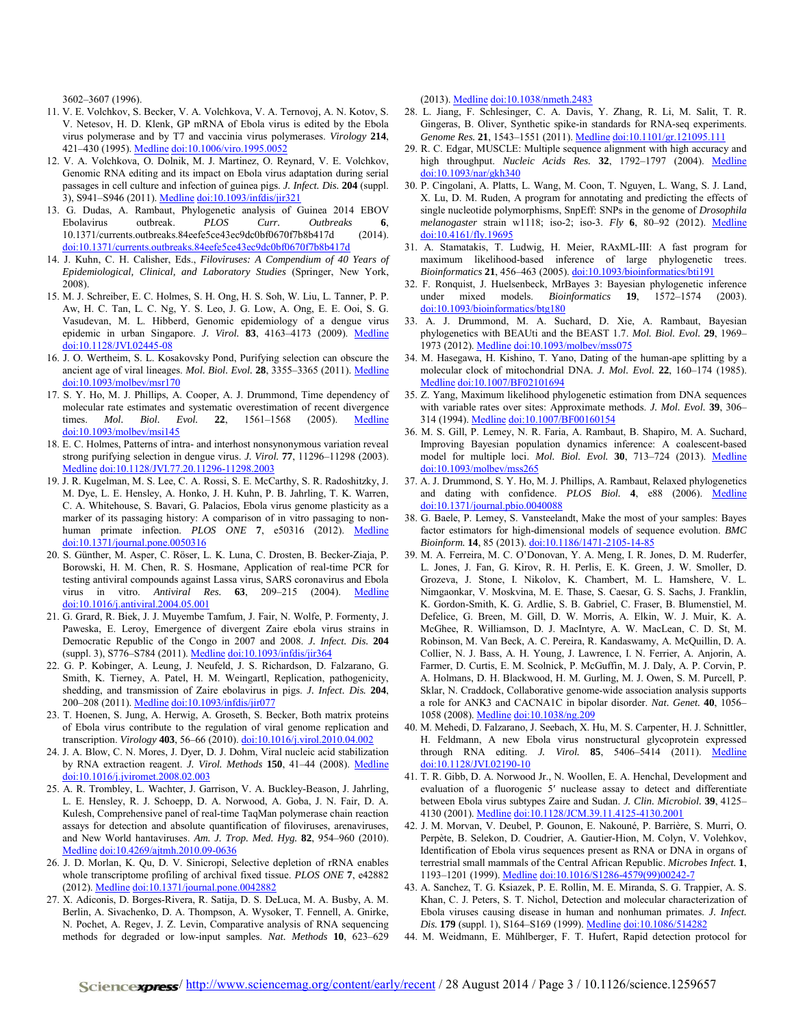3602–3607 (1996).

- 11. V. E. Volchkov, S. Becker, V. A. Volchkova, V. A. Ternovoj, A. N. Kotov, S. V. Netesov, H. D. Klenk, GP mRNA of Ebola virus is edited by the Ebola virus polymerase and by T7 and vaccinia virus polymerases. *Virology* **214**, 421-430 (1995). [Medline](http://www.ncbi.nlm.nih.gov/entrez/query.fcgi?cmd=Retrieve&db=PubMed&list_uids=8553543&dopt=Abstract) [doi:10.1006/viro.1995.0052](http://dx.doi.org/10.1006/viro.1995.0052)
- 12. V. A. Volchkova, O. Dolnik, M. J. Martinez, O. Reynard, V. E. Volchkov, Genomic RNA editing and its impact on Ebola virus adaptation during serial passages in cell culture and infection of guinea pigs. *J. Infect. Dis.* **204** (suppl. 3), S941–S946 (2011). [Medline](http://www.ncbi.nlm.nih.gov/entrez/query.fcgi?cmd=Retrieve&db=PubMed&list_uids=21987773&dopt=Abstract) [doi:10.1093/infdis/jir321](http://dx.doi.org/10.1093/infdis/jir321)
- 13. G. Dudas, A. Rambaut, [Phylogenetic analysis of Guinea 2014 EBOV](http://currents.plos.org/outbreaks/article/phylogenetic-analysis-of-guinea-2014-ebov-ebolavirus-outbreak-2/)  [Ebolavirus outbreak.](http://currents.plos.org/outbreaks/article/phylogenetic-analysis-of-guinea-2014-ebov-ebolavirus-outbreak-2/) *PLOS Curr. Outbreaks* **6**, 10.1371/currents.outbreaks.84eefe5ce43ec9dc0bf0670f7b8b417d (2014). doi:10.1371/currents.outbreaks.84eefe5ce43ec9dc0bf0670f7b8b417d
- 14. J. Kuhn, C. H. Calisher, Eds., *Filoviruses: A Compendium of 40 Years of Epidemiological, Clinical, and Laboratory Studies* (Springer, New York, 2008).
- 15. M. J. Schreiber, E. C. Holmes, S. H. Ong, H. S. Soh, W. Liu, L. Tanner, P. P. Aw, H. C. Tan, L. C. Ng, Y. S. Leo, J. G. Low, A. Ong, E. E. Ooi, S. G. Vasudevan, M. L. Hibberd, Genomic epidemiology of a dengue virus epidemic in urban Singapore. *J. Virol.* 83, 4163-4173 (2009). [Medline](http://www.ncbi.nlm.nih.gov/entrez/query.fcgi?cmd=Retrieve&db=PubMed&list_uids=19211734&dopt=Abstract) [doi:10.1128/JVI.02445-08](http://dx.doi.org/10.1128/JVI.02445-08)
- 16. J. O. Wertheim, S. L. Kosakovsky Pond, Purifying selection can obscure the ancient age of viral lineages. *Mol. Biol. Evol.* **28**, 3355–3365 (2011). [Medline](http://www.ncbi.nlm.nih.gov/entrez/query.fcgi?cmd=Retrieve&db=PubMed&list_uids=21705379&dopt=Abstract) [doi:10.1093/molbev/msr170](http://dx.doi.org/10.1093/molbev/msr170)
- 17. S. Y. Ho, M. J. Phillips, A. Cooper, A. J. Drummond, Time dependency of molecular rate estimates and systematic overestimation of recent divergence times. *Mol. Biol. Evol.* **22**, 1561–1568 (2005). [Medline](http://www.ncbi.nlm.nih.gov/entrez/query.fcgi?cmd=Retrieve&db=PubMed&list_uids=15814826&dopt=Abstract) [doi:10.1093/molbev/msi145](http://dx.doi.org/10.1093/molbev/msi145)
- 18. E. C. Holmes, Patterns of intra- and interhost nonsynonymous variation reveal strong purifying selection in dengue virus. *J. Virol.* **77**, 11296–11298 (2003)[.](http://www.ncbi.nlm.nih.gov/entrez/query.fcgi?cmd=Retrieve&db=PubMed&list_uids=14512579&dopt=Abstract) [Medline](http://www.ncbi.nlm.nih.gov/entrez/query.fcgi?cmd=Retrieve&db=PubMed&list_uids=14512579&dopt=Abstract) [doi:10.1128/JVI.77.20.11296-11298.2003](http://dx.doi.org/10.1128/JVI.77.20.11296-11298.2003)
- 19. J. R. Kugelman, M. S. Lee, C. A. Rossi, S. E. McCarthy, S. R. Radoshitzky, J. M. Dye, L. E. Hensley, A. Honko, J. H. Kuhn, P. B. Jahrling, T. K. Warren, C. A. Whitehouse, S. Bavari, G. Palacios, Ebola virus genome plasticity as a marker of its passaging history: A comparison of in vitro passaging to nonhuman primate infection. *PLOS ONE* 7, e50316 (2012). [Medline](http://www.ncbi.nlm.nih.gov/entrez/query.fcgi?cmd=Retrieve&db=PubMed&list_uids=23209706&dopt=Abstract) [doi:10.1371/journal.pone.0050316](http://dx.doi.org/10.1371/journal.pone.0050316)
- 20. S. Günther, M. Asper, C. Röser, L. K. Luna, C. Drosten, B. Becker-Ziaja, P. Borowski, H. M. Chen, R. S. Hosmane, Application of real-time PCR for testing antiviral compounds against Lassa virus, SARS coronavirus and Ebola virus in vitro. *Antiviral Res.* **63**, 209–215 (2004). [Medline](http://www.ncbi.nlm.nih.gov/entrez/query.fcgi?cmd=Retrieve&db=PubMed&list_uids=15451189&dopt=Abstract) [doi:10.1016/j.antiviral.2004.05.001](http://dx.doi.org/10.1016/j.antiviral.2004.05.001)
- 21. G. Grard, R. Biek, J. J. Muyembe Tamfum, J. Fair, N. Wolfe, P. Formenty, J. Paweska, E. Leroy, Emergence of divergent Zaire ebola virus strains in Democratic Republic of the Congo in 2007 and 2008. *J. Infect. Dis.* **204** (suppl. 3), S776–S784 (2011). [Medline](http://www.ncbi.nlm.nih.gov/entrez/query.fcgi?cmd=Retrieve&db=PubMed&list_uids=21987750&dopt=Abstract) [doi:10.1093/infdis/jir364](http://dx.doi.org/10.1093/infdis/jir364)
- 22. G. P. Kobinger, A. Leung, J. Neufeld, J. S. Richardson, D. Falzarano, G. Smith, K. Tierney, A. Patel, H. M. Weingartl, Replication, pathogenicity, shedding, and transmission of Zaire ebolavirus in pigs. *J. Infect. Dis.* **204**, 200–208 (2011). [Medline](http://www.ncbi.nlm.nih.gov/entrez/query.fcgi?cmd=Retrieve&db=PubMed&list_uids=21571728&dopt=Abstract) [doi:10.1093/infdis/jir077](http://dx.doi.org/10.1093/infdis/jir077)
- 23. T. Hoenen, S. Jung, A. Herwig, A. Groseth, S. Becker, Both matrix proteins of Ebola virus contribute to the regulation of viral genome replication and transcription. *Virology* **403**, 56–66 (2010)[. doi:10.1016/j.virol.2010.04.002](http://dx.doi.org/10.1016/j.virol.2010.04.002)
- 24. J. A. Blow, C. N. Mores, J. Dyer, D. J. Dohm, Viral nucleic acid stabilization by RNA extraction reagent. *J. Virol. Methods* **150**, 41–44 (2008). [Medline](http://www.ncbi.nlm.nih.gov/entrez/query.fcgi?cmd=Retrieve&db=PubMed&list_uids=18387678&dopt=Abstract) [doi:10.1016/j.jviromet.2008.02.003](http://dx.doi.org/10.1016/j.jviromet.2008.02.003)
- 25. A. R. Trombley, L. Wachter, J. Garrison, V. A. Buckley-Beason, J. Jahrling, L. E. Hensley, R. J. Schoepp, D. A. Norwood, A. Goba, J. N. Fair, D. A. Kulesh, Comprehensive panel of real-time TaqMan polymerase chain reaction assays for detection and absolute quantification of filoviruses, arenaviruses, and New World hantaviruses. *Am. J. Trop. Med. Hyg.* **82**, 954–960 (2010)[.](http://www.ncbi.nlm.nih.gov/entrez/query.fcgi?cmd=Retrieve&db=PubMed&list_uids=20439981&dopt=Abstract) [Medline](http://www.ncbi.nlm.nih.gov/entrez/query.fcgi?cmd=Retrieve&db=PubMed&list_uids=20439981&dopt=Abstract) [doi:10.4269/ajtmh.2010.09-0636](http://dx.doi.org/10.4269/ajtmh.2010.09-0636)
- 26. J. D. Morlan, K. Qu, D. V. Sinicropi, Selective depletion of rRNA enables whole transcriptome profiling of archival fixed tissue. *PLOS ONE* **7**, e42882 (2012). [Medline](http://www.ncbi.nlm.nih.gov/entrez/query.fcgi?cmd=Retrieve&db=PubMed&list_uids=22900061&dopt=Abstract) [doi:10.1371/journal.pone.0042882](http://dx.doi.org/10.1371/journal.pone.0042882)
- 27. X. Adiconis, D. Borges-Rivera, R. Satija, D. S. DeLuca, M. A. Busby, A. M. Berlin, A. Sivachenko, D. A. Thompson, A. Wysoker, T. Fennell, A. Gnirke, N. Pochet, A. Regev, J. Z. Levin, Comparative analysis of RNA sequencing methods for degraded or low-input samples. *Nat. Methods* **10**, 623–629

(2013). [Medline](http://www.ncbi.nlm.nih.gov/entrez/query.fcgi?cmd=Retrieve&db=PubMed&list_uids=23685885&dopt=Abstract) [doi:10.1038/nmeth.2483](http://dx.doi.org/10.1038/nmeth.2483)

- 28. L. Jiang, F. Schlesinger, C. A. Davis, Y. Zhang, R. Li, M. Salit, T. R. Gingeras, B. Oliver, Synthetic spike-in standards for RNA-seq experiments. *Genome Res.* **21**, 1543–1551 (2011). [Medline](http://www.ncbi.nlm.nih.gov/entrez/query.fcgi?cmd=Retrieve&db=PubMed&list_uids=21816910&dopt=Abstract) [doi:10.1101/gr.121095.111](http://dx.doi.org/10.1101/gr.121095.111)
- 29. R. C. Edgar, MUSCLE: Multiple sequence alignment with high accuracy and high throughput. *Nucleic Acids Res.* 32, 1792-1797 (2004). [Medline](http://www.ncbi.nlm.nih.gov/entrez/query.fcgi?cmd=Retrieve&db=PubMed&list_uids=15034147&dopt=Abstract) [doi:10.1093/nar/gkh340](http://dx.doi.org/10.1093/nar/gkh340)
- 30. P. Cingolani, A. Platts, L. Wang, M. Coon, T. Nguyen, L. Wang, S. J. Land, X. Lu, D. M. Ruden, A program for annotating and predicting the effects of single nucleotide polymorphisms, SnpEff: SNPs in the genome of *Drosophila melanogaster* strain w1118; iso-2; iso-3. *Fly* **6**, 80–92 (2012). [Medline](http://www.ncbi.nlm.nih.gov/entrez/query.fcgi?cmd=Retrieve&db=PubMed&list_uids=22728672&dopt=Abstract) [doi:10.4161/fly.19695](http://dx.doi.org/10.4161/fly.19695)
- 31. A. Stamatakis, T. Ludwig, H. Meier, RAxML-III: A fast program for maximum likelihood-based inference of large phylogenetic trees. *Bioinformatics* **21**, 456–463 (2005)[. doi:10.1093/bioinformatics/bti191](http://dx.doi.org/10.1093/bioinformatics/bti191)
- 32. F. Ronquist, J. Huelsenbeck, MrBayes 3: Bayesian phylogenetic inference under mixed models. *Bioinformatics* **19**, 1572–1574 (2003). [doi:10.1093/bioinformatics/btg180](http://dx.doi.org/10.1093/bioinformatics/btg180)
- 33. A. J. Drummond, M. A. Suchard, D. Xie, A. Rambaut, Bayesian phylogenetics with BEAUti and the BEAST 1.7. *Mol. Biol. Evol.* **29**, 1969– 1973 (2012). [Medline](http://www.ncbi.nlm.nih.gov/entrez/query.fcgi?cmd=Retrieve&db=PubMed&list_uids=22367748&dopt=Abstract) [doi:10.1093/molbev/mss075](http://dx.doi.org/10.1093/molbev/mss075)
- 34. M. Hasegawa, H. Kishino, T. Yano, Dating of the human-ape splitting by a molecular clock of mitochondrial DNA. *J. Mol. Evol.* **22**, 160–174 (1985[\).](http://www.ncbi.nlm.nih.gov/entrez/query.fcgi?cmd=Retrieve&db=PubMed&list_uids=3934395&dopt=Abstract) [Medline](http://www.ncbi.nlm.nih.gov/entrez/query.fcgi?cmd=Retrieve&db=PubMed&list_uids=3934395&dopt=Abstract) [doi:10.1007/BF02101694](http://dx.doi.org/10.1007/BF02101694)
- 35. Z. Yang, Maximum likelihood phylogenetic estimation from DNA sequences with variable rates over sites: Approximate methods. *J. Mol. Evol.* **39**, 306– 314 (1994). [Medline](http://www.ncbi.nlm.nih.gov/entrez/query.fcgi?cmd=Retrieve&db=PubMed&list_uids=7932792&dopt=Abstract) [doi:10.1007/BF00160154](http://dx.doi.org/10.1007/BF00160154)
- 36. M. S. Gill, P. Lemey, N. R. Faria, A. Rambaut, B. Shapiro, M. A. Suchard, Improving Bayesian population dynamics inference: A coalescent-based model for multiple loci. *Mol. Biol. Evol.* **30**, 713–724 (2013). [Medline](http://www.ncbi.nlm.nih.gov/entrez/query.fcgi?cmd=Retrieve&db=PubMed&list_uids=23180580&dopt=Abstract) [doi:10.1093/molbev/mss265](http://dx.doi.org/10.1093/molbev/mss265)
- 37. A. J. Drummond, S. Y. Ho, M. J. Phillips, A. Rambaut, Relaxed phylogenetics and dating with confidence. *PLOS Biol.* **4**, e88 (2006). [Medline](http://www.ncbi.nlm.nih.gov/entrez/query.fcgi?cmd=Retrieve&db=PubMed&list_uids=16683862&dopt=Abstract) [doi:10.1371/journal.pbio.0040088](http://dx.doi.org/10.1371/journal.pbio.0040088)
- 38. G. Baele, P. Lemey, S. Vansteelandt, Make the most of your samples: Bayes factor estimators for high-dimensional models of sequence evolution. *BMC Bioinform.* **14**, 85 (2013)[. doi:10.1186/1471-2105-14-85](http://dx.doi.org/10.1186/1471-2105-14-85)
- 39. M. A. Ferreira, M. C. O'Donovan, Y. A. Meng, I. R. Jones, D. M. Ruderfer, L. Jones, J. Fan, G. Kirov, R. H. Perlis, E. K. Green, J. W. Smoller, D. Grozeva, J. Stone, I. Nikolov, K. Chambert, M. L. Hamshere, V. L. Nimgaonkar, V. Moskvina, M. E. Thase, S. Caesar, G. S. Sachs, J. Franklin, K. Gordon-Smith, K. G. Ardlie, S. B. Gabriel, C. Fraser, B. Blumenstiel, M. Defelice, G. Breen, M. Gill, D. W. Morris, A. Elkin, W. J. Muir, K. A. McGhee, R. Williamson, D. J. MacIntyre, A. W. MacLean, C. D. St, M. Robinson, M. Van Beck, A. C. Pereira, R. Kandaswamy, A. McQuillin, D. A. Collier, N. J. Bass, A. H. Young, J. Lawrence, I. N. Ferrier, A. Anjorin, A. Farmer, D. Curtis, E. M. Scolnick, P. McGuffin, M. J. Daly, A. P. Corvin, P. A. Holmans, D. H. Blackwood, H. M. Gurling, M. J. Owen, S. M. Purcell, P. Sklar, N. Craddock, Collaborative genome-wide association analysis supports a role for ANK3 and CACNA1C in bipolar disorder. *Nat. Genet.* **40**, 1056– 1058 (2008). [Medline](http://www.ncbi.nlm.nih.gov/entrez/query.fcgi?cmd=Retrieve&db=PubMed&list_uids=18711365&dopt=Abstract) [doi:10.1038/ng.209](http://dx.doi.org/10.1038/ng.209)
- 40. M. Mehedi, D. Falzarano, J. Seebach, X. Hu, M. S. Carpenter, H. J. Schnittler, H. Feldmann, A new Ebola virus nonstructural glycoprotein expressed through RNA editing. *J. Virol.* **85**, 5406–5414 (2011). [Medline](http://www.ncbi.nlm.nih.gov/entrez/query.fcgi?cmd=Retrieve&db=PubMed&list_uids=21411529&dopt=Abstract) [doi:10.1128/JVI.02190-10](http://dx.doi.org/10.1128/JVI.02190-10)
- 41. T. R. Gibb, D. A. Norwood Jr., N. Woollen, E. A. Henchal, Development and evaluation of a fluorogenic 5′ nuclease assay to detect and differentiate between Ebola virus subtypes Zaire and Sudan. *J. Clin. Microbiol.* **39**, 4125– 4130 (2001). [Medline](http://www.ncbi.nlm.nih.gov/entrez/query.fcgi?cmd=Retrieve&db=PubMed&list_uids=11682540&dopt=Abstract) [doi:10.1128/JCM.39.11.4125-4130.2001](http://dx.doi.org/10.1128/JCM.39.11.4125-4130.2001)
- 42. J. M. Morvan, V. Deubel, P. Gounon, E. Nakouné, P. Barrière, S. Murri, O. Perpète, B. Selekon, D. Coudrier, A. Gautier-Hion, M. Colyn, V. Volehkov, Identification of Ebola virus sequences present as RNA or DNA in organs of terrestrial small mammals of the Central African Republic. *Microbes Infect.* **1**, 1193–1201 (1999). [Medline](http://www.ncbi.nlm.nih.gov/entrez/query.fcgi?cmd=Retrieve&db=PubMed&list_uids=10580275&dopt=Abstract) [doi:10.1016/S1286-4579\(99\)00242-7](http://dx.doi.org/10.1016/S1286-4579(99)00242-7)
- 43. A. Sanchez, T. G. Ksiazek, P. E. Rollin, M. E. Miranda, S. G. Trappier, A. S. Khan, C. J. Peters, S. T. Nichol, Detection and molecular characterization of Ebola viruses causing disease in human and nonhuman primates. *J. Infect. Dis.* **179** (suppl. 1), S164–S169 (1999). [Medline](http://www.ncbi.nlm.nih.gov/entrez/query.fcgi?cmd=Retrieve&db=PubMed&list_uids=9988180&dopt=Abstract) [doi:10.1086/514282](http://dx.doi.org/10.1086/514282)
- 44. M. Weidmann, E. Mühlberger, F. T. Hufert, Rapid detection protocol for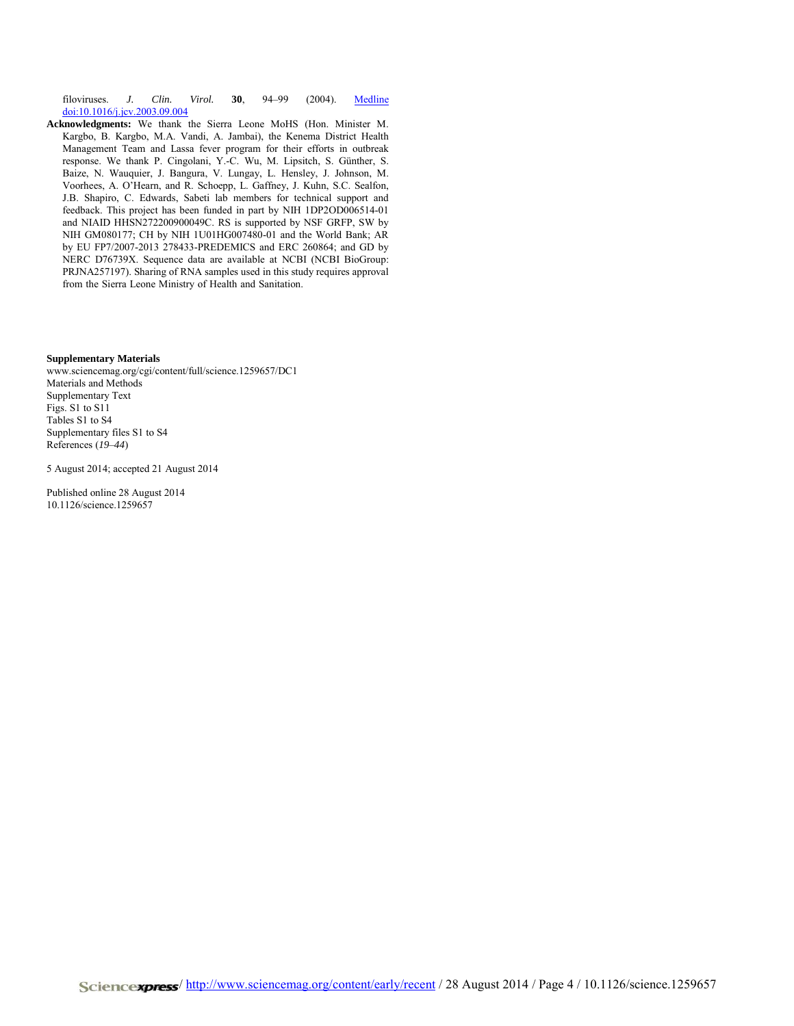filoviruses. *J. Clin. Virol.* **30**, 94–99 (2004). [Medline](http://www.ncbi.nlm.nih.gov/entrez/query.fcgi?cmd=Retrieve&db=PubMed&list_uids=15072761&dopt=Abstract) [doi:10.1016/j.jcv.2003.09.004](http://dx.doi.org/10.1016/j.jcv.2003.09.004)

**Acknowledgments:** We thank the Sierra Leone MoHS (Hon. Minister M. Kargbo, B. Kargbo, M.A. Vandi, A. Jambai), the Kenema District Health Management Team and Lassa fever program for their efforts in outbreak response. We thank P. Cingolani, Y.-C. Wu, M. Lipsitch, S. Günther, S. Baize, N. Wauquier, J. Bangura, V. Lungay, L. Hensley, J. Johnson, M. Voorhees, A. O'Hearn, and R. Schoepp, L. Gaffney, J. Kuhn, S.C. Sealfon, J.B. Shapiro, C. Edwards, Sabeti lab members for technical support and feedback. This project has been funded in part by NIH 1DP2OD006514-01 and NIAID HHSN272200900049C. RS is supported by NSF GRFP, SW by NIH GM080177; CH by NIH 1U01HG007480-01 and the World Bank; AR by EU FP7/2007-2013 278433-PREDEMICS and ERC 260864; and GD by NERC D76739X. Sequence data are available at NCBI (NCBI BioGroup: PRJNA257197). Sharing of RNA samples used in this study requires approval from the Sierra Leone Ministry of Health and Sanitation.

## **Supplementary Materials**

www.sciencemag.org/cgi/content/full/science.1259657/DC1 Materials and Methods Supplementary Text Figs. S1 to S11 Tables S1 to S4 Supplementary files S1 to S4 References (*19*–*44*)

5 August 2014; accepted 21 August 2014

Published online 28 August 2014 10.1126/science.1259657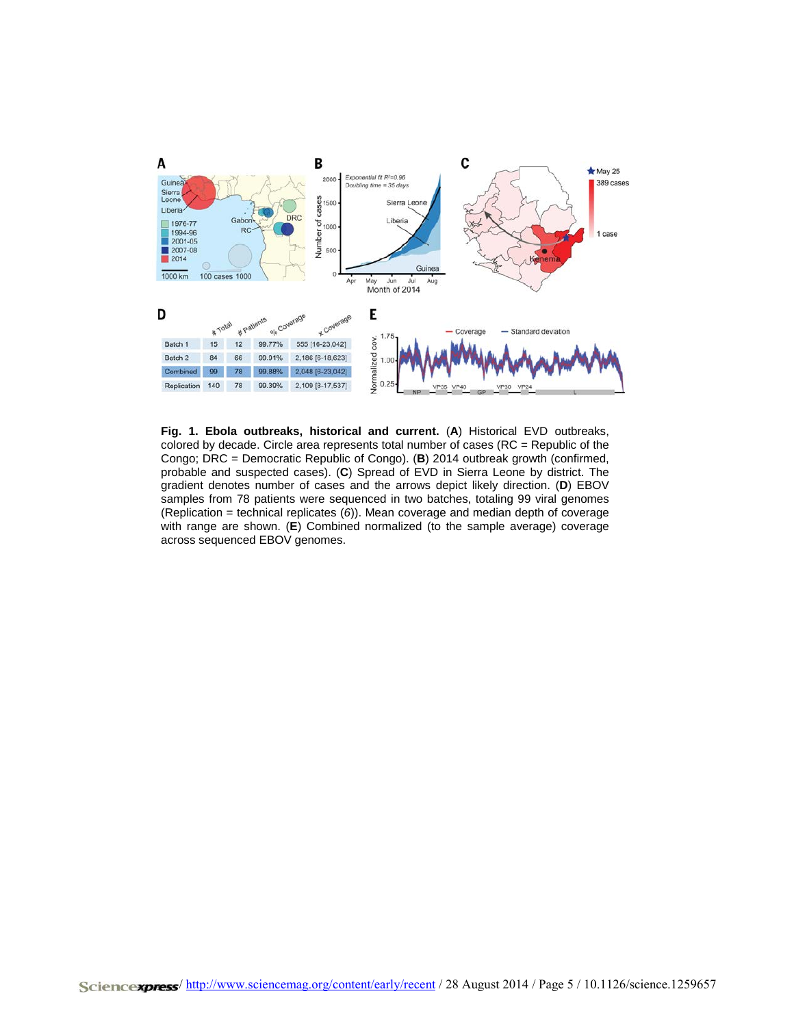

**Fig. 1. Ebola outbreaks, historical and current.** (**A**) Historical EVD outbreaks, colored by decade. Circle area represents total number of cases (RC = Republic of the Congo; DRC = Democratic Republic of Congo). (**B**) 2014 outbreak growth (confirmed, probable and suspected cases). (**C**) Spread of EVD in Sierra Leone by district. The gradient denotes number of cases and the arrows depict likely direction. (**D**) EBOV samples from 78 patients were sequenced in two batches, totaling 99 viral genomes (Replication = technical replicates (*6*)). Mean coverage and median depth of coverage with range are shown. (**E**) Combined normalized (to the sample average) coverage across sequenced EBOV genomes.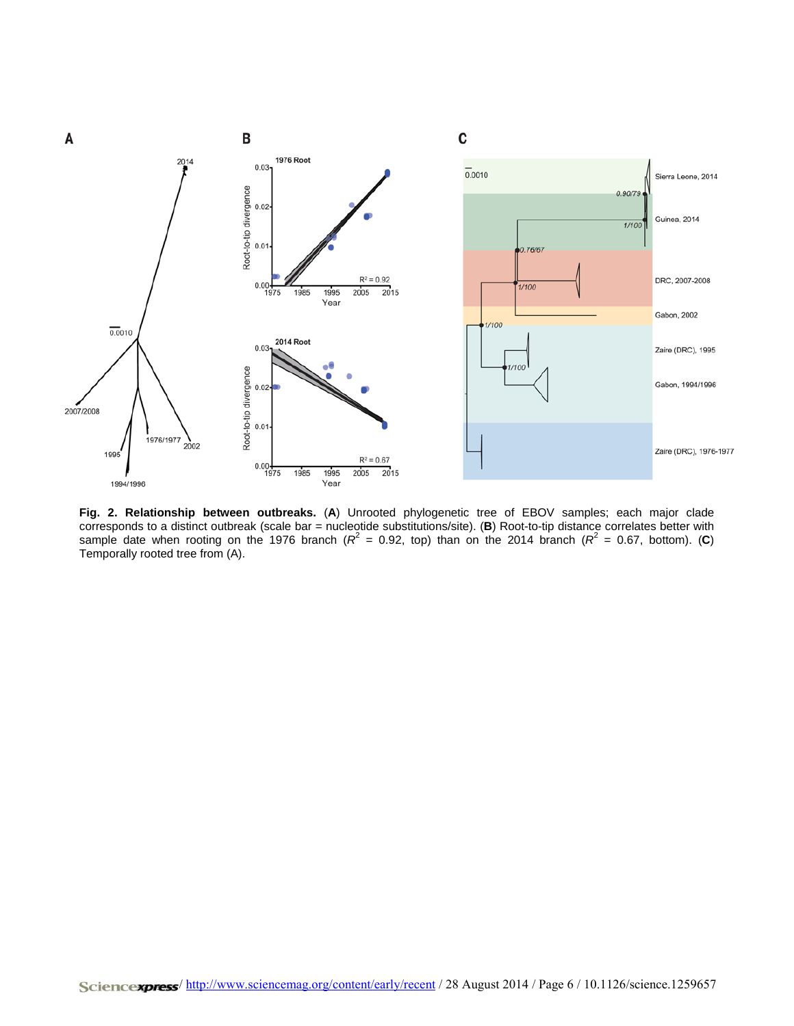

**Fig. 2. Relationship between outbreaks.** (**A**) Unrooted phylogenetic tree of EBOV samples; each major clade corresponds to a distinct outbreak (scale bar = nucleotide substitutions/site). (**B**) Root-to-tip distance correlates better with sample date when rooting on the 1976 branch ( $R^2$  = 0.92, top) than on the 2014 branch ( $R^2$  = 0.67, bottom). (C) Temporally rooted tree from (A).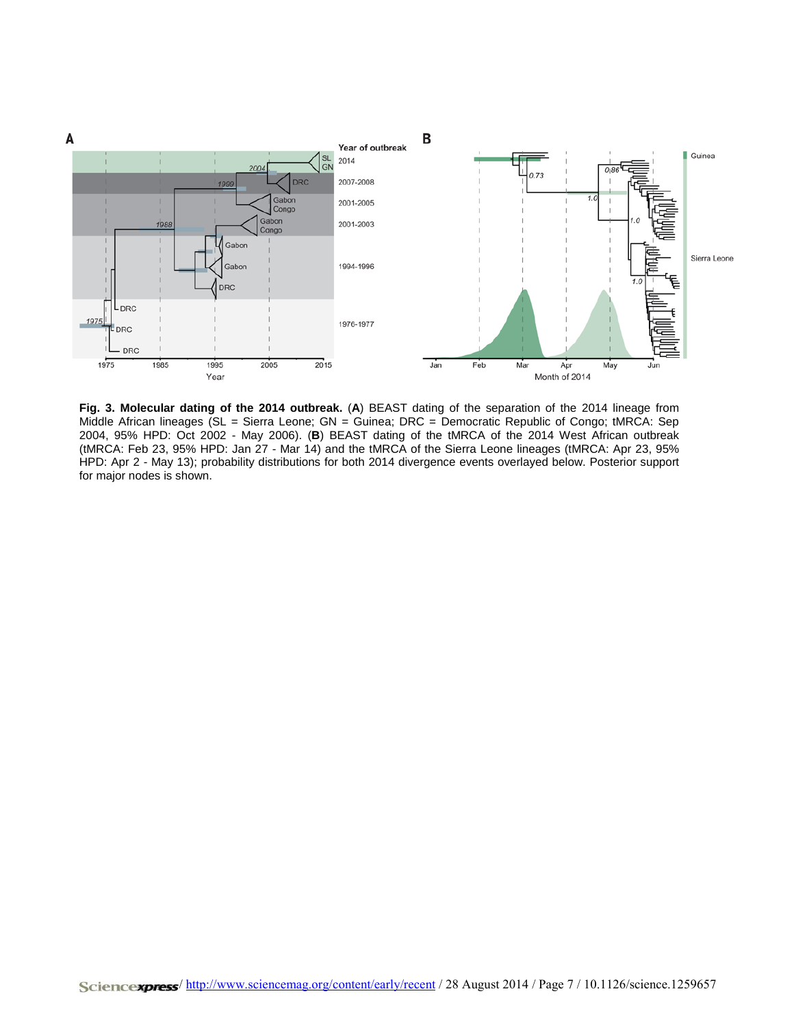

**Fig. 3. Molecular dating of the 2014 outbreak.** (**A**) BEAST dating of the separation of the 2014 lineage from Middle African lineages (SL = Sierra Leone; GN = Guinea; DRC = Democratic Republic of Congo; tMRCA: Sep 2004, 95% HPD: Oct 2002 - May 2006). (**B**) BEAST dating of the tMRCA of the 2014 West African outbreak (tMRCA: Feb 23, 95% HPD: Jan 27 - Mar 14) and the tMRCA of the Sierra Leone lineages (tMRCA: Apr 23, 95% HPD: Apr 2 - May 13); probability distributions for both 2014 divergence events overlayed below. Posterior support for major nodes is shown.